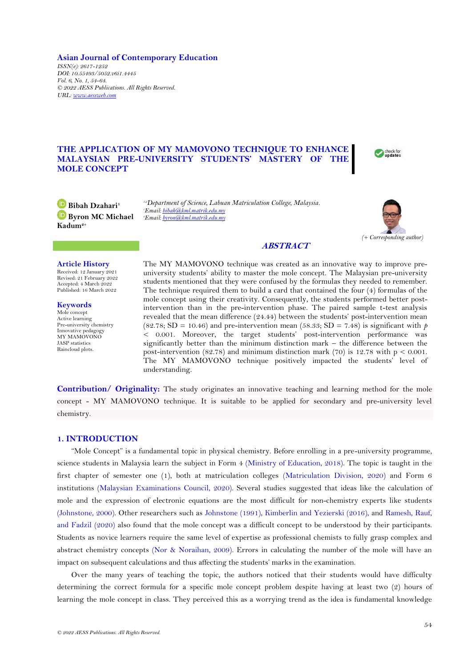**Asian Journal of Contemporary Education** *ISSN(e): 2617-1252 DOI: 10.55493/5052.v6i1.4445 Vol. 6, No. 1, 54-64. © 2022 AESS Publications. All Rights Reserved. URL: [www.aessweb.com](http://www.aessweb.com/)*

# **THE APPLICATION OF MY MAMOVONO TECHNIQUE TO ENHANCE MALAYSIAN PRE-UNIVERSITY STUDENTS' MASTERY OF THE MOLE CONCEPT**



**Bibah Dzahari<sup>1</sup> Byron MC Michael Kadum2+**

*1,2Department of Science, Labuan Matriculation College, Malaysia. <sup>1</sup>Email[: bibah@kml.matrik.edu.my](mailto:bibah@kml.matrik.edu.my) <sup>2</sup>Email[: byron@kml.matrik.edu.my](mailto:byron@kml.matrik.edu.my)*



# **ABSTRACT**

## **Article History**

Received: 12 January 2021 Revised: 21 February 2022 Accepted: 4 March 2022 Published: 16 March 2022

**Keywords** Mole concept Active learning Pre-university chemistry Innovative pedagogy MY MAMOVONO JASP statistics Raincloud plots.

The MY MAMOVONO technique was created as an innovative way to improve preuniversity students' ability to master the mole concept. The Malaysian pre-university students mentioned that they were confused by the formulas they needed to remember. The technique required them to build a card that contained the four (4) formulas of the mole concept using their creativity. Consequently, the students performed better postintervention than in the pre-intervention phase. The paired sample t-test analysis revealed that the mean difference (24.44) between the students' post-intervention mean (82.78; SD = 10.46) and pre-intervention mean (58.33; SD = 7.48) is significant with  $p$ < 0.001. Moreover, the target students' post-intervention performance was significantly better than the minimum distinction mark – the difference between the post-intervention (82.78) and minimum distinction mark (70) is 12.78 with  $p < 0.001$ . The MY MAMOVONO technique positively impacted the students' level of understanding.

**Contribution/ Originality:** The study originates an innovative teaching and learning method for the mole concept - MY MAMOVONO technique. It is suitable to be applied for secondary and pre-university level chemistry.

## **1. INTRODUCTION**

"Mole Concept" is a fundamental topic in physical chemistry. Before enrolling in a pre-university programme, science students in Malaysia learn the subject in Form 4 [\(Ministry of Education, 2018\)](#page-10-0). The topic is taught in the first chapter of semester one (1), both at matriculation colleges [\(Matriculation Division, 2020\)](#page-10-1) and Form 6 institutions [\(Malaysian Examinations Council, 2020\)](#page-10-2). Several studies suggested that ideas like the calculation of mole and the expression of electronic equations are the most difficult for non-chemistry experts like students [\(Johnstone, 2000\)](#page-10-3). Other researchers such as [Johnstone \(1991\)](#page-10-4), [Kimberlin and Yezierski \(2016\)](#page-10-5), and [Ramesh, Rauf,](#page-10-6)  [and Fadzil \(2020\)](#page-10-6) also found that the mole concept was a difficult concept to be understood by their participants. Students as novice learners require the same level of expertise as professional chemists to fully grasp complex and abstract chemistry concepts [\(Nor & Noraihan, 2009\)](#page-10-7). Errors in calculating the number of the mole will have an impact on subsequent calculations and thus affecting the students' marks in the examination.

Over the many years of teaching the topic, the authors noticed that their students would have difficulty determining the correct formula for a specific mole concept problem despite having at least two (2) hours of learning the mole concept in class. They perceived this as a worrying trend as the idea is fundamental knowledge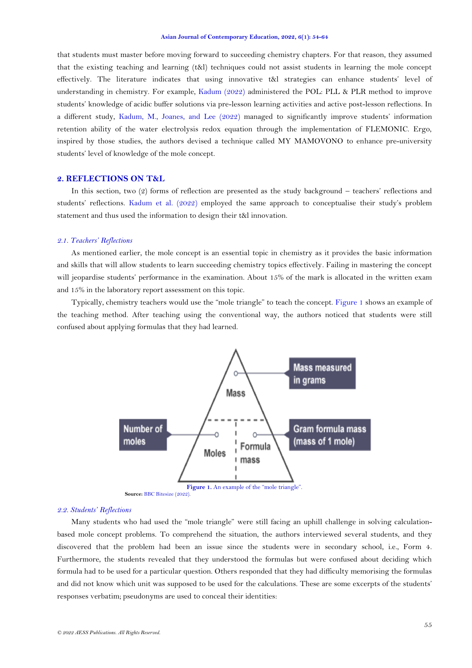that students must master before moving forward to succeeding chemistry chapters. For that reason, they assumed that the existing teaching and learning (t&l) techniques could not assist students in learning the mole concept effectively. The literature indicates that using innovative t&l strategies can enhance students' level of understanding in chemistry. For example, [Kadum](#page-10-8) (2022) administered the POL: PLL & PLR method to improve students' knowledge of acidic buffer solutions via pre-lesson learning activities and active post-lesson reflections. In a different study, [Kadum, M., Joanes, and Lee \(2022\)](#page-10-9) managed to significantly improve students' information retention ability of the water electrolysis redox equation through the implementation of FLEMONIC. Ergo, inspired by those studies, the authors devised a technique called MY MAMOVONO to enhance pre-university students' level of knowledge of the mole concept.

# **2. REFLECTIONS ON T&L**

In this section, two (2) forms of reflection are presented as the study background – teachers' reflections and students' reflections. Kadum [et al. \(2022\)](#page-10-9) employed the same approach to conceptualise their study's problem statement and thus used the information to design their t&l innovation.

### *2.1. Teachers' Reflections*

As mentioned earlier, the mole concept is an essential topic in chemistry as it provides the basic information and skills that will allow students to learn succeeding chemistry topics effectively. Failing in mastering the concept will jeopardise students' performance in the examination. About 15% of the mark is allocated in the written exam and 15% in the laboratory report assessment on this topic.

Typically, chemistry teachers would use the "mole triangle" to teach the concept. [Figure 1](#page-1-0) shows an example of the teaching method. After teaching using the conventional way, the authors noticed that students were still confused about applying formulas that they had learned.



**Source:** [BBC Bitesize \(2022\)](#page-9-0).

## <span id="page-1-0"></span>*2.2. Students' Reflections*

Many students who had used the "mole triangle" were still facing an uphill challenge in solving calculationbased mole concept problems. To comprehend the situation, the authors interviewed several students, and they discovered that the problem had been an issue since the students were in secondary school, i.e., Form 4. Furthermore, the students revealed that they understood the formulas but were confused about deciding which formula had to be used for a particular question. Others responded that they had difficulty memorising the formulas and did not know which unit was supposed to be used for the calculations. These are some excerpts of the students' responses verbatim; pseudonyms are used to conceal their identities: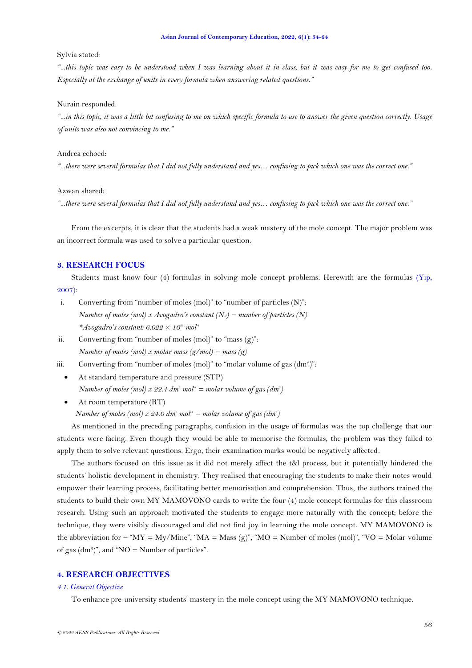#### Sylvia stated:

*"...this topic was easy to be understood when I was learning about it in class, but it was easy for me to get confused too. Especially at the exchange of units in every formula when answering related questions."* 

### Nurain responded:

*"...in this topic, it was a little bit confusing to me on which specific formula to use to answer the given question correctly. Usage of units was also not convincing to me."*

## Andrea echoed:

*"...there were several formulas that I did not fully understand and yes… confusing to pick which one was the correct one."*

Azwan shared:

*"...there were several formulas that I did not fully understand and yes… confusing to pick which one was the correct one."*

From the excerpts, it is clear that the students had a weak mastery of the mole concept. The major problem was an incorrect formula was used to solve a particular question.

# **3. RESEARCH FOCUS**

Students must know four (4) formulas in solving mole concept problems. Herewith are the formulas [\(Yip,](#page-10-10)  [2007\)](#page-10-10):

- i. Converting from "number of moles (mol)" to "number of particles (N)": *Number of moles (mol) x Avogadro's constant (NA) = number of particles (N) \*Avogadro's constant: 6.022 × 10<sup>23</sup> mol-1*
- ii. Converting from "number of moles (mol)" to "mass (g)": *Number of moles (mol) x molar mass (g/mol) = mass (g)*
- iii. Converting from "number of moles (mol)" to "molar volume of gas (dm<sup>3</sup>)":
	- At standard temperature and pressure (STP) *Number of moles (mol) x 22.4*  $dm^3$  *mol<sup>* $1$ *</sup> = molar volume of gas (* $dm^3$ *)*
	- At room temperature (RT) *Number of moles (mol) x 24.0*  $dm^3$  *mol<sup>* $1$ *</sup> = molar volume of gas (* $dm^3$ *)*

As mentioned in the preceding paragraphs, confusion in the usage of formulas was the top challenge that our students were facing. Even though they would be able to memorise the formulas, the problem was they failed to apply them to solve relevant questions. Ergo, their examination marks would be negatively affected.

The authors focused on this issue as it did not merely affect the t&l process, but it potentially hindered the students' holistic development in chemistry. They realised that encouraging the students to make their notes would empower their learning process, facilitating better memorisation and comprehension. Thus, the authors trained the students to build their own MY MAMOVONO cards to write the four (4) mole concept formulas for this classroom research. Using such an approach motivated the students to engage more naturally with the concept; before the technique, they were visibly discouraged and did not find joy in learning the mole concept. MY MAMOVONO is the abbreviation for – " $MY = My/Mine$ ", " $MA = Mass (g)$ ", " $MO = Number of moles (mol)$ ", " $VO = Molar volume$ of gas  $(dm<sup>3</sup>)$ ", and "NO = Number of particles".

# **4. RESEARCH OBJECTIVES**

### *4.1. General Objective*

To enhance pre-university students' mastery in the mole concept using the MY MAMOVONO technique.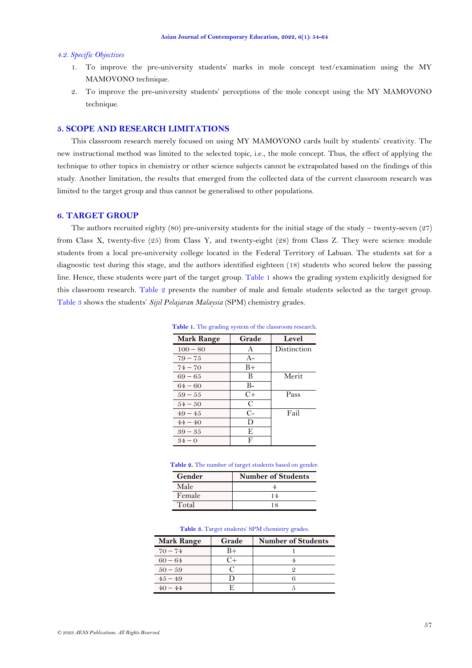### *4.2. Specific Objectives*

- 1. To improve the pre-university students' marks in mole concept test/examination using the MY MAMOVONO technique.
- 2. To improve the pre-university students' perceptions of the mole concept using the MY MAMOVONO technique.

# **5. SCOPE AND RESEARCH LIMITATIONS**

This classroom research merely focused on using MY MAMOVONO cards built by students' creativity. The new instructional method was limited to the selected topic, i.e., the mole concept. Thus, the effect of applying the technique to other topics in chemistry or other science subjects cannot be extrapolated based on the findings of this study. Another limitation, the results that emerged from the collected data of the current classroom research was limited to the target group and thus cannot be generalised to other populations.

# **6. TARGET GROUP**

<span id="page-3-0"></span>The authors recruited eighty (80) pre-university students for the initial stage of the study – twenty-seven  $(27)$ from Class X, twenty-five (25) from Class Y, and twenty-eight (28) from Class Z. They were science module students from a local pre-university college located in the Federal Territory of Labuan. The students sat for a diagnostic test during this stage, and the authors identified eighteen (18) students who scored below the passing line. Hence, these students were part of the target group. [Table 1](#page-3-0) shows the grading system explicitly designed for this classroom research. [Table](#page-3-1) 2 presents the number of male and female students selected as the target group. [Table 3](#page-3-2) shows the students' *Sijil Pelajaran Malaysia* (SPM) chemistry grades.

| <b>Mark Range</b> | Grade | Level       |
|-------------------|-------|-------------|
| $100 - 80$        | А     | Distinction |
| $79 - 75$         | $A-$  |             |
| $74 - 70$         | B+    |             |
| $69 - 65$         | В     | Merit       |
| $64 - 60$         | B-    |             |
| $59 - 55$         | $C+$  | Pass        |
| $54 - 50$         |       |             |

Table 1. The grading system of the classroom research.

| $49 - 45$ |   | Fail |
|-----------|---|------|
| $44 - 40$ |   |      |
| $39 - 35$ |   |      |
| $.34 - 0$ | г |      |
|           |   |      |

### <span id="page-3-1"></span>Table 2. The number of target students based on gender

| Gender | <b>Number of Students</b> |  |  |  |  |  |
|--------|---------------------------|--|--|--|--|--|
| Male   |                           |  |  |  |  |  |
| Female | 14                        |  |  |  |  |  |
| Total  | 18                        |  |  |  |  |  |

|  |  |  |  | Table 3. Target students' SPM chemistry grades. |  |
|--|--|--|--|-------------------------------------------------|--|
|--|--|--|--|-------------------------------------------------|--|

<span id="page-3-2"></span>

| <b>Mark Range</b> | Grade      | <b>Number of Students</b> |
|-------------------|------------|---------------------------|
| $70 - 74$         | B+         |                           |
| $60 - 64$         | $^{\circ}$ |                           |
| $50 - 59$         |            |                           |
| $4.5 - 4.9$       |            |                           |
| $40 - 44$         |            |                           |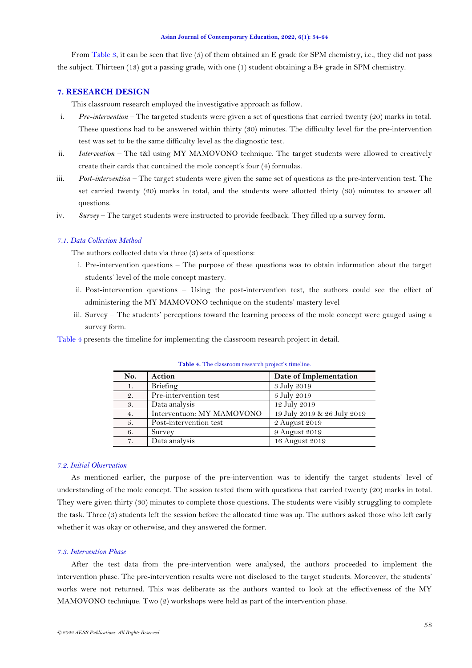From [Table 3,](#page-3-2) it can be seen that five (5) of them obtained an E grade for SPM chemistry, i.e., they did not pass the subject. Thirteen (13) got a passing grade, with one (1) student obtaining a B+ grade in SPM chemistry.

# **7. RESEARCH DESIGN**

This classroom research employed the investigative approach as follow.

- i. *Pre-intervention –* The targeted students were given a set of questions that carried twenty (20) marks in total. These questions had to be answered within thirty (30) minutes. The difficulty level for the pre-intervention test was set to be the same difficulty level as the diagnostic test.
- ii. *Intervention –* The t&l using MY MAMOVONO technique. The target students were allowed to creatively create their cards that contained the mole concept's four (4) formulas.
- iii. *Post-intervention –* The target students were given the same set of questions as the pre-intervention test. The set carried twenty (20) marks in total, and the students were allotted thirty (30) minutes to answer all questions.
- iv. *Survey –* The target students were instructed to provide feedback. They filled up a survey form.

## *7.1. Data Collection Method*

The authors collected data via three (3) sets of questions:

- i. Pre-intervention questions The purpose of these questions was to obtain information about the target students' level of the mole concept mastery.
- ii. Post-intervention questions Using the post-intervention test, the authors could see the effect of administering the MY MAMOVONO technique on the students' mastery level
- iii. Survey The students' perceptions toward the learning process of the mole concept were gauged using a survey form.

<span id="page-4-0"></span>[Table 4](#page-4-0) presents the timeline for implementing the classroom research project in detail.

| No. | Action                    | Date of Implementation      |
|-----|---------------------------|-----------------------------|
|     | Briefing                  | 3 July 2019                 |
| 2.  | Pre-intervention test     | 5 July 2019                 |
| 3.  | Data analysis             | 12 July 2019                |
| 4.  | Interventuon: MY MAMOVONO | 19 July 2019 & 26 July 2019 |
| 5.  | Post-intervention test    | 2 August 2019               |
| 6.  | Survey                    | 9 August 2019               |
| 7.  | Data analysis             | 16 August 2019              |

**Table 4.** The classroom research project's timeline.

## *7.2. Initial Observation*

As mentioned earlier, the purpose of the pre-intervention was to identify the target students' level of understanding of the mole concept. The session tested them with questions that carried twenty (20) marks in total. They were given thirty (30) minutes to complete those questions. The students were visibly struggling to complete the task. Three (3) students left the session before the allocated time was up. The authors asked those who left early whether it was okay or otherwise, and they answered the former.

### *7.3. Intervention Phase*

After the test data from the pre-intervention were analysed, the authors proceeded to implement the intervention phase. The pre-intervention results were not disclosed to the target students. Moreover, the students' works were not returned. This was deliberate as the authors wanted to look at the effectiveness of the MY MAMOVONO technique. Two (2) workshops were held as part of the intervention phase.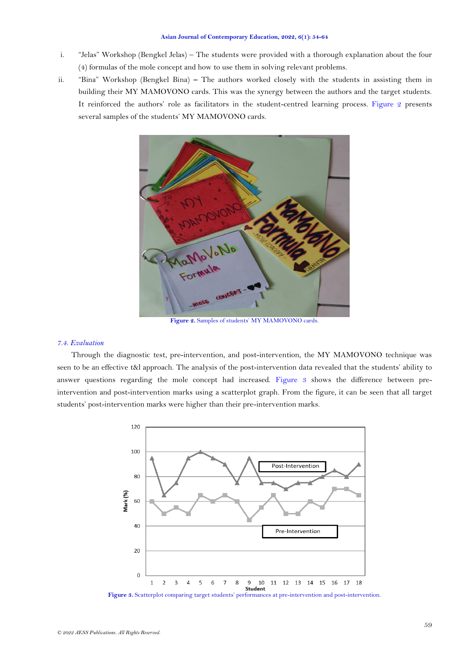- i. "Jelas" Workshop (Bengkel Jelas) The students were provided with a thorough explanation about the four (4) formulas of the mole concept and how to use them in solving relevant problems.
- ii. "Bina" Workshop (Bengkel Bina) **–** The authors worked closely with the students in assisting them in building their MY MAMOVONO cards. This was the synergy between the authors and the target students. It reinforced the authors' role as facilitators in the student-centred learning process. [Figure 2](#page-5-0) presents several samples of the students' MY MAMOVONO cards.



Figure 2. Samples of students' MY MAMOVONO cards.

### <span id="page-5-0"></span>*7.4. Evaluation*

Through the diagnostic test, pre-intervention, and post-intervention, the MY MAMOVONO technique was seen to be an effective t&l approach. The analysis of the post-intervention data revealed that the students' ability to answer questions regarding the mole concept had increased. [Figure 3](#page-5-1) shows the difference between preintervention and post-intervention marks using a scatterplot graph. From the figure, it can be seen that all target students' post-intervention marks were higher than their pre-intervention marks.



<span id="page-5-1"></span>Figure 3. Scatterplot comparing target students' performances at pre-intervention and post-intervention.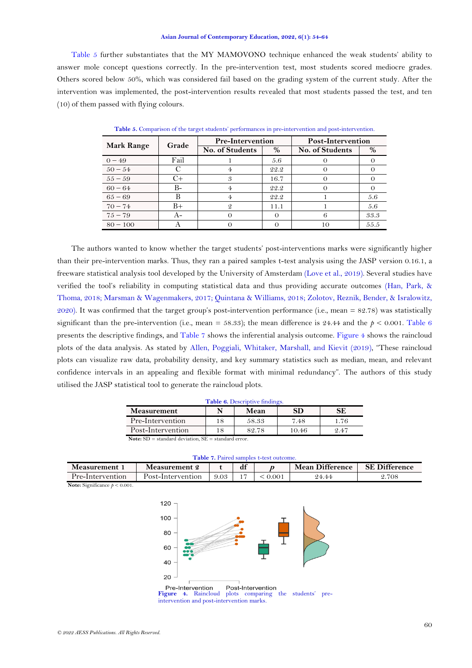[Table 5](#page-6-0) further substantiates that the MY MAMOVONO technique enhanced the weak students' ability to answer mole concept questions correctly. In the pre-intervention test, most students scored mediocre grades. Others scored below 50%, which was considered fail based on the grading system of the current study. After the intervention was implemented, the post-intervention results revealed that most students passed the test, and ten (10) of them passed with flying colours.

<span id="page-6-0"></span>

|                   | Grade | <b>Pre-Intervention</b> |      | Post-Intervention |      |  |
|-------------------|-------|-------------------------|------|-------------------|------|--|
| <b>Mark Range</b> |       | No. of Students         | %    | No. of Students   | $\%$ |  |
| $0 - 49$          | Fail  |                         | 5.6  |                   |      |  |
| $50 - 54$         |       |                         | 22.2 |                   |      |  |
| $55 - 59$         | $+$   | 3                       | 16.7 |                   |      |  |
| $60 - 64$         | B-    |                         | 22.2 |                   |      |  |
| $65 - 69$         |       |                         | 22.2 |                   | 5.6  |  |
| $70 - 74$         | $B+$  | 9                       | 11.1 |                   | 5.6  |  |
| $75 - 79$         | A-    |                         |      | 6                 | 33.3 |  |
| $80 - 100$        |       |                         |      | 10                | 55.5 |  |

**Table 5.** Comparison of the target students' performances in pre-intervention and post-intervention.

The authors wanted to know whether the target students' post-interventions marks were significantly higher than their pre-intervention marks. Thus, they ran a paired samples t-test analysis using the JASP version 0.16.1, a freeware statistical analysis tool developed by the University of Amsterdam [\(Love et al., 2019\)](#page-10-11). Several studies have verified the tool's reliability in computing statistical data and thus providing accurate outcomes [\(Han, Park, &](#page-9-1) [Thoma, 2018;](#page-9-1) [Marsman & Wagenmakers, 2017;](#page-10-12) [Quintana & Williams, 2018;](#page-10-13) [Zolotov, Reznik, Bender, & Isralowitz,](#page-10-14)  [2020\)](#page-10-14). It was confirmed that the target group's post-intervention performance (i.e., mean = 82.78) was statistically significant than the pre-intervention (i.e., mean = 58.33); the mean difference is 24.44 and the  $p < 0.001$ . [Table 6](#page-6-1) presents the descriptive findings, and [Table 7](#page-6-2) shows the inferential analysis outcome[. Figure 4](#page-6-3) shows the raincloud plots of the data analysis. As stated by Allen, [Poggiali, Whitaker, Marshall, and Kievit \(2019\)](#page-9-2), "These raincloud plots can visualize raw data, probability density, and key summary statistics such as median, mean, and relevant confidence intervals in an appealing and flexible format with minimal redundancy". The authors of this study utilised the JASP statistical tool to generate the raincloud plots.

| Table 6. Descriptive findings.                 |    |       |       |      |  |  |  |
|------------------------------------------------|----|-------|-------|------|--|--|--|
| <b>Measurement</b>                             |    | Mean  | SD    | SЕ   |  |  |  |
| Pre-Intervention                               | 18 | 58.33 | 7.48  | 1.76 |  |  |  |
| Post-Intervention                              | 18 | 82.78 | 10.46 | 2.47 |  |  |  |
| Note $SD = standard deviation$ $SE = standard$ |    |       |       |      |  |  |  |

**Note:** SD = standard deviation, SE = standard error.

<span id="page-6-4"></span>**Table 7.** Paired samples t-test outcome.

<span id="page-6-2"></span><span id="page-6-1"></span>

| <b>Measurement</b> | Measurement 2     |      | df |      | <b>Mean Difference</b> | <b>SE Difference</b> |
|--------------------|-------------------|------|----|------|------------------------|----------------------|
| Pre-Intervention   | Post-Intervention | 9.03 |    | 001. | 24.44                  | 2.708                |

**Note:** Significance *p* < 0.001.



<span id="page-6-3"></span>Pre-Intervention Post-Intervention Figure 4. Raincloud plots comparing the students' intervention and post-intervention marks.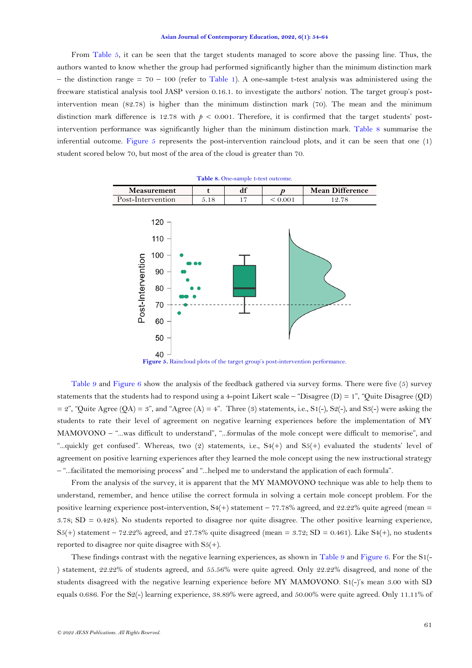From [Table 5,](#page-6-0) it can be seen that the target students managed to score above the passing line. Thus, the authors wanted to know whether the group had performed significantly higher than the minimum distinction mark – the distinction range  $= 70 - 100$  (refer to [Table 1\)](#page-3-0). A one-sample t-test analysis was administered using the freeware statistical analysis tool JASP version 0.16.1. to investigate the authors' notion. The target group's postintervention mean (82.78) is higher than the minimum distinction mark (70). The mean and the minimum distinction mark difference is 12.78 with  $p < 0.001$ . Therefore, it is confirmed that the target students' postintervention performance was significantly higher than the minimum distinction mark. [Table 8](#page-6-4) summarise the inferential outcome. [Figure 5](#page-7-0) represents the post-intervention raincloud plots, and it can be seen that one (1) student scored below 70, but most of the area of the cloud is greater than 70.



Figure 5. Raincloud plots of the target group's post-intervention performance.

<span id="page-7-0"></span>[Table](#page-8-0) 9 and [Figure 6](#page-8-1) show the analysis of the feedback gathered via survey forms. There were five (5) survey statements that the students had to respond using a 4-point Likert scale – "Disagree  $(D) = 1$ ", "Ouite Disagree  $(OD)$  $= 2$ ", "Quite Agree (QA) = 3", and "Agree (A) = 4". Three (3) statements, i.e., S1(-), S2(-), and S3(-) were asking the students to rate their level of agreement on negative learning experiences before the implementation of MY MAMOVONO – "...was difficult to understand", "...formulas of the mole concept were difficult to memorise", and "...quickly get confused". Whereas, two (2) statements, i.e., S4(+) and S5(+) evaluated the students' level of agreement on positive learning experiences after they learned the mole concept using the new instructional strategy – "...facilitated the memorising process" and "...helped me to understand the application of each formula".

From the analysis of the survey, it is apparent that the MY MAMOVONO technique was able to help them to understand, remember, and hence utilise the correct formula in solving a certain mole concept problem. For the positive learning experience post-intervention,  $S4(+)$  statement – 77.78% agreed, and 22.22% quite agreed (mean = 3.78;  $SD = 0.428$ ). No students reported to disagree nor quite disagree. The other positive learning experience,  $S5(+)$  statement – 72.22% agreed, and 27.78% quite disagreed (mean = 3.72; SD = 0.461). Like S4(+), no students reported to disagree nor quite disagree with  $S5(+)$ .

These findings contrast with the negative learning experiences, as shown in [Table 9](#page-8-0) and [Figure 6.](#page-8-1) For the S1(- ) statement, 22.22% of students agreed, and 55.56% were quite agreed. Only 22.22% disagreed, and none of the students disagreed with the negative learning experience before MY MAMOVONO. S1(-)'s mean 3.00 with SD equals 0.686. For the S2(-) learning experience, 38.89% were agreed, and 50.00% were quite agreed. Only 11.11% of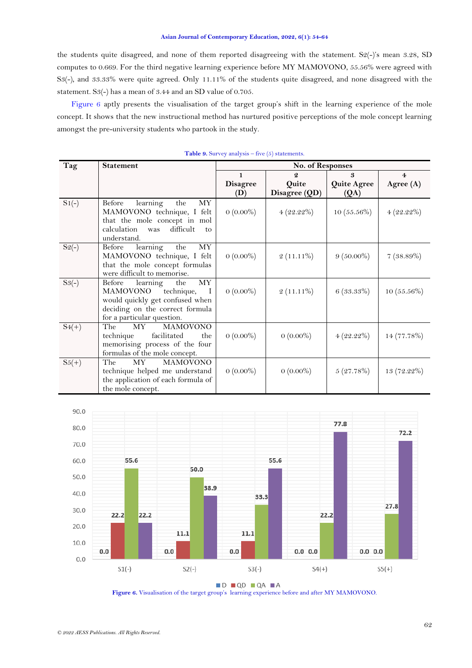the students quite disagreed, and none of them reported disagreeing with the statement. S2(-)'s mean 3.28, SD computes to 0.669. For the third negative learning experience before MY MAMOVONO, 55.56% were agreed with S3(-), and 33.33% were quite agreed. Only 11.11% of the students quite disagreed, and none disagreed with the statement. S3(-) has a mean of 3.44 and an SD value of 0.705.

[Figure 6](#page-8-1) aptly presents the visualisation of the target group's shift in the learning experience of the mole concept. It shows that the new instructional method has nurtured positive perceptions of the mole concept learning amongst the pre-university students who partook in the study.

<span id="page-8-0"></span>

| Tag      | <b>Statement</b>                                                                                                                                                     | No. of Responses |                  |                    |                |  |  |
|----------|----------------------------------------------------------------------------------------------------------------------------------------------------------------------|------------------|------------------|--------------------|----------------|--|--|
|          |                                                                                                                                                                      | $\mathbf{1}$     | $\boldsymbol{Q}$ | 3                  | $\overline{4}$ |  |  |
|          |                                                                                                                                                                      | <b>Disagree</b>  | Quite            | <b>Quite Agree</b> | Agree $(A)$    |  |  |
|          |                                                                                                                                                                      | (D)              | Disagree (QD)    | (QA)               |                |  |  |
| $S1(-)$  | Before<br>learning<br>the<br>МY<br>MAMOVONO technique, I felt<br>that the mole concept in mol<br>difficult<br>calculation<br>was<br>to<br>understand.                | $0(0.00\%)$      | $4(22.22\%)$     | 10(55.56%)         | $4(22.22\%)$   |  |  |
| $S_2(-)$ | learning<br>Before<br>the<br>MY<br>MAMOVONO technique, I felt<br>that the mole concept formulas<br>were difficult to memorise.                                       | $0(0.00\%)$      | $2(11.11\%)$     | $9(50.00\%)$       | 7(38.89%)      |  |  |
| $S_3(-)$ | Before<br>learning<br>the<br>МY<br>MAMOVONO<br>technique,<br>- 1<br>would quickly get confused when<br>deciding on the correct formula<br>for a particular question. | $0(0.00\%)$      | $2(11.11\%)$     | 6(33.33%)          | $10(55.56\%)$  |  |  |
| $S4(+)$  | MY .<br>The<br><b>MAMOVONO</b><br>facilitated<br>technique<br>the<br>memorising process of the four<br>formulas of the mole concept.                                 | $0(0.00\%)$      | $0(0.00\%)$      | $4(22.22\%)$       | 14 (77.78%)    |  |  |
| $S5(+)$  | MY<br><b>MAMOVONO</b><br>The<br>technique helped me understand<br>the application of each formula of<br>the mole concept.                                            | $0(0.00\%)$      | $0(0.00\%)$      | 5(27.78%)          | 13 (72.22%)    |  |  |

**Table 9.** Survey analysis – five (5) statements.



D QD QA A

<span id="page-8-1"></span>**Figure 6.** Visualisation of the target group's learning experience before and after MY MAMOVONO.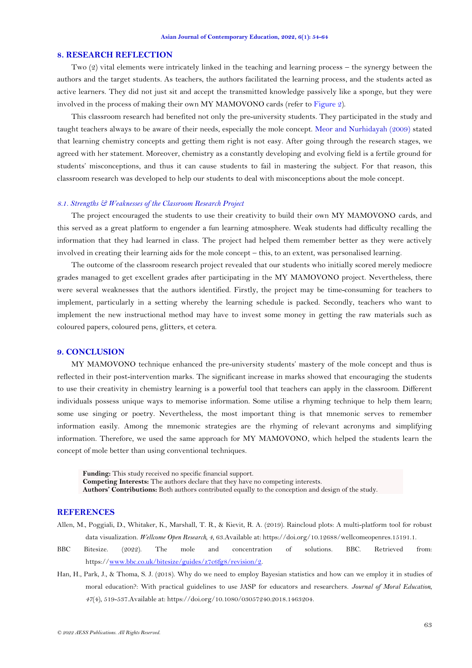## **8. RESEARCH REFLECTION**

Two (2) vital elements were intricately linked in the teaching and learning process – the synergy between the authors and the target students. As teachers, the authors facilitated the learning process, and the students acted as active learners. They did not just sit and accept the transmitted knowledge passively like a sponge, but they were involved in the process of making their own MY MAMOVONO cards (refer to [Figure 2\)](#page-5-0).

This classroom research had benefited not only the pre-university students. They participated in the study and taught teachers always to be aware of their needs, especially the mole concept. [Meor and Nurhidayah \(2009\)](#page-10-15) stated that learning chemistry concepts and getting them right is not easy. After going through the research stages, we agreed with her statement. Moreover, chemistry as a constantly developing and evolving field is a fertile ground for students' misconceptions, and thus it can cause students to fail in mastering the subject. For that reason, this classroom research was developed to help our students to deal with misconceptions about the mole concept.

# *8.1. Strengths & Weaknesses of the Classroom Research Project*

The project encouraged the students to use their creativity to build their own MY MAMOVONO cards, and this served as a great platform to engender a fun learning atmosphere. Weak students had difficulty recalling the information that they had learned in class. The project had helped them remember better as they were actively involved in creating their learning aids for the mole concept – this, to an extent, was personalised learning.

The outcome of the classroom research project revealed that our students who initially scored merely mediocre grades managed to get excellent grades after participating in the MY MAMOVONO project. Nevertheless, there were several weaknesses that the authors identified. Firstly, the project may be time-consuming for teachers to implement, particularly in a setting whereby the learning schedule is packed. Secondly, teachers who want to implement the new instructional method may have to invest some money in getting the raw materials such as coloured papers, coloured pens, glitters, et cetera.

## **9. CONCLUSION**

MY MAMOVONO technique enhanced the pre-university students' mastery of the mole concept and thus is reflected in their post-intervention marks. The significant increase in marks showed that encouraging the students to use their creativity in chemistry learning is a powerful tool that teachers can apply in the classroom. Different individuals possess unique ways to memorise information. Some utilise a rhyming technique to help them learn; some use singing or poetry. Nevertheless, the most important thing is that mnemonic serves to remember information easily. Among the mnemonic strategies are the rhyming of relevant acronyms and simplifying information. Therefore, we used the same approach for MY MAMOVONO, which helped the students learn the concept of mole better than using conventional techniques.

**Funding:** This study received no specific financial support. **Competing Interests:** The authors declare that they have no competing interests. **Authors' Contributions:** Both authors contributed equally to the conception and design of the study.

## **REFERENCES**

- <span id="page-9-2"></span>Allen, M., Poggiali, D., Whitaker, K., Marshall, T. R., & Kievit, R. A. (2019). Raincloud plots: A multi-platform tool for robust data visualization. *Wellcome Open Research, 4*, 63.Available at: https://doi.org/10.12688/wellcomeopenres.15191.1.
- <span id="page-9-0"></span>BBC Bitesize. (2022). The mole and concentration of solutions. BBC. Retrieved from: https:/[/www.bbc.co.uk/bitesize/guides/z7c6fg8/revision/2.](http://www.bbc.co.uk/bitesize/guides/z7c6fg8/revision/2)
- <span id="page-9-1"></span>Han, H., Park, J., & Thoma, S. J. (2018). Why do we need to employ Bayesian statistics and how can we employ it in studies of moral education?: With practical guidelines to use JASP for educators and researchers. *Journal of Moral Education, 47*(4), 519-537.Available at: https://doi.org/10.1080/03057240.2018.1463204.